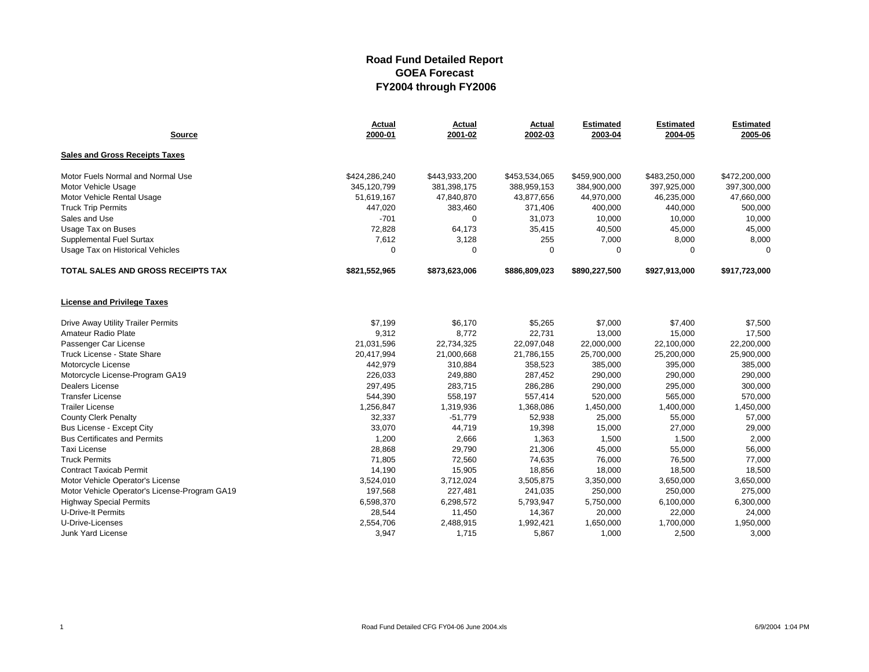| <b>Source</b>                                 | <b>Actual</b><br>2000-01 | <b>Actual</b><br>2001-02 | Actual<br>2002-03 | <b>Estimated</b><br>2003-04 | <b>Estimated</b><br>2004-05 | <b>Estimated</b><br>2005-06 |
|-----------------------------------------------|--------------------------|--------------------------|-------------------|-----------------------------|-----------------------------|-----------------------------|
| <b>Sales and Gross Receipts Taxes</b>         |                          |                          |                   |                             |                             |                             |
| Motor Fuels Normal and Normal Use             | \$424,286,240            | \$443,933,200            | \$453,534,065     | \$459,900,000               | \$483,250,000               | \$472,200,000               |
| Motor Vehicle Usage                           | 345,120,799              | 381,398,175              | 388,959,153       | 384,900,000                 | 397,925,000                 | 397,300,000                 |
| Motor Vehicle Rental Usage                    | 51,619,167               | 47,840,870               | 43,877,656        | 44,970,000                  | 46,235,000                  | 47,660,000                  |
| <b>Truck Trip Permits</b>                     | 447,020                  | 383,460                  | 371,406           | 400,000                     | 440,000                     | 500,000                     |
| Sales and Use                                 | $-701$                   | $\mathbf 0$              | 31,073            | 10,000                      | 10,000                      | 10,000                      |
| Usage Tax on Buses                            | 72,828                   | 64,173                   | 35,415            | 40,500                      | 45,000                      | 45,000                      |
| Supplemental Fuel Surtax                      | 7,612                    | 3,128                    | 255               | 7,000                       | 8,000                       | 8,000                       |
| Usage Tax on Historical Vehicles              | $\Omega$                 | $\Omega$                 | $\Omega$          | 0                           | $\mathbf 0$                 | $\Omega$                    |
| <b>TOTAL SALES AND GROSS RECEIPTS TAX</b>     | \$821,552,965            | \$873,623,006            | \$886,809,023     | \$890,227,500               | \$927,913,000               | \$917,723,000               |
| <b>License and Privilege Taxes</b>            |                          |                          |                   |                             |                             |                             |
| <b>Drive Away Utility Trailer Permits</b>     | \$7,199                  | \$6,170                  | \$5,265           | \$7,000                     | \$7,400                     | \$7,500                     |
| Amateur Radio Plate                           | 9,312                    | 8,772                    | 22,731            | 13,000                      | 15,000                      | 17,500                      |
| Passenger Car License                         | 21,031,596               | 22,734,325               | 22,097,048        | 22,000,000                  | 22,100,000                  | 22,200,000                  |
| Truck License - State Share                   | 20,417,994               | 21,000,668               | 21,786,155        | 25,700,000                  | 25,200,000                  | 25,900,000                  |
| Motorcycle License                            | 442,979                  | 310,884                  | 358,523           | 385,000                     | 395,000                     | 385,000                     |
| Motorcycle License-Program GA19               | 226,033                  | 249,880                  | 287,452           | 290,000                     | 290,000                     | 290,000                     |
| Dealers License                               | 297,495                  | 283,715                  | 286,286           | 290,000                     | 295,000                     | 300,000                     |
| <b>Transfer License</b>                       | 544,390                  | 558,197                  | 557,414           | 520,000                     | 565,000                     | 570,000                     |
| <b>Trailer License</b>                        | 1,256,847                | 1,319,936                | 1,368,086         | 1,450,000                   | 1,400,000                   | 1,450,000                   |
| <b>County Clerk Penalty</b>                   | 32,337                   | $-51,779$                | 52,938            | 25,000                      | 55,000                      | 57,000                      |
| Bus License - Except City                     | 33,070                   | 44,719                   | 19,398            | 15,000                      | 27,000                      | 29,000                      |
| <b>Bus Certificates and Permits</b>           | 1,200                    | 2,666                    | 1,363             | 1,500                       | 1,500                       | 2,000                       |
| Taxi License                                  | 28,868                   | 29,790                   | 21,306            | 45,000                      | 55,000                      | 56,000                      |
| <b>Truck Permits</b>                          | 71,805                   | 72,560                   | 74,635            | 76,000                      | 76,500                      | 77,000                      |
| <b>Contract Taxicab Permit</b>                | 14,190                   | 15,905                   | 18,856            | 18,000                      | 18,500                      | 18,500                      |
| Motor Vehicle Operator's License              | 3,524,010                | 3,712,024                | 3,505,875         | 3,350,000                   | 3,650,000                   | 3,650,000                   |
| Motor Vehicle Operator's License-Program GA19 | 197,568                  | 227,481                  | 241,035           | 250,000                     | 250,000                     | 275,000                     |
| <b>Highway Special Permits</b>                | 6,598,370                | 6,298,572                | 5,793,947         | 5,750,000                   | 6,100,000                   | 6,300,000                   |
| <b>U-Drive-It Permits</b>                     | 28,544                   | 11,450                   | 14,367            | 20,000                      | 22,000                      | 24,000                      |
| U-Drive-Licenses                              | 2,554,706                | 2,488,915                | 1,992,421         | 1,650,000                   | 1,700,000                   | 1,950,000                   |
| Junk Yard License                             | 3,947                    | 1,715                    | 5,867             | 1,000                       | 2,500                       | 3,000                       |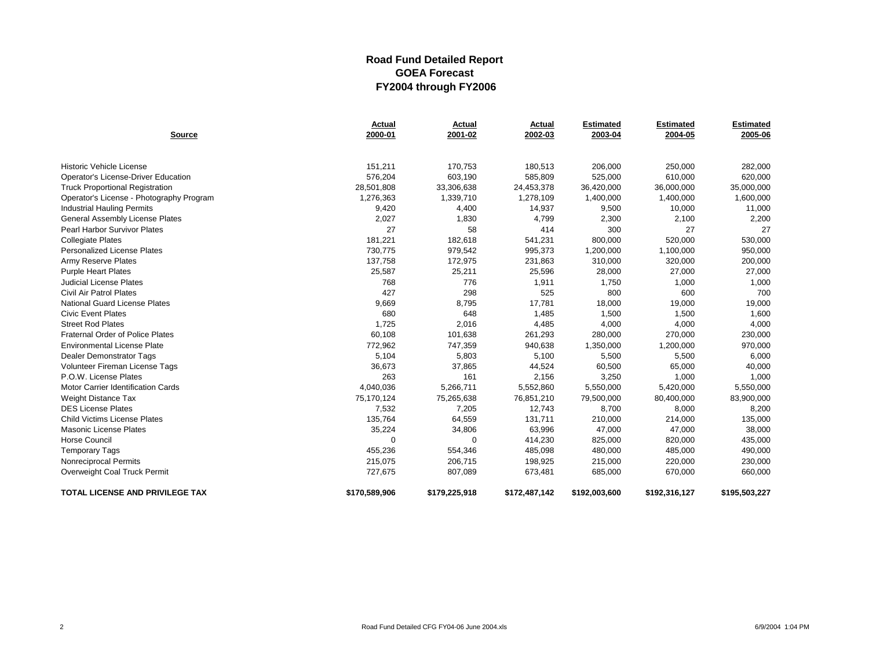| <b>Source</b>                             | Actual<br>2000-01 | Actual<br>2001-02 | Actual<br>2002-03 | <b>Estimated</b><br>2003-04 | <b>Estimated</b><br>2004-05 | <b>Estimated</b><br>2005-06 |
|-------------------------------------------|-------------------|-------------------|-------------------|-----------------------------|-----------------------------|-----------------------------|
|                                           |                   |                   |                   |                             |                             |                             |
| Historic Vehicle License                  | 151,211           | 170,753           | 180,513           | 206,000                     | 250,000                     | 282,000                     |
| Operator's License-Driver Education       | 576,204           | 603,190           | 585,809           | 525,000                     | 610,000                     | 620,000                     |
| <b>Truck Proportional Registration</b>    | 28,501,808        | 33,306,638        | 24,453,378        | 36,420,000                  | 36,000,000                  | 35,000,000                  |
| Operator's License - Photography Program  | 1,276,363         | 1,339,710         | 1,278,109         | 1,400,000                   | 1,400,000                   | 1,600,000                   |
| <b>Industrial Hauling Permits</b>         | 9,420             | 4,400             | 14,937            | 9,500                       | 10,000                      | 11,000                      |
| <b>General Assembly License Plates</b>    | 2,027             | 1,830             | 4,799             | 2,300                       | 2,100                       | 2,200                       |
| <b>Pearl Harbor Survivor Plates</b>       | 27                | 58                | 414               | 300                         | 27                          | 27                          |
| <b>Collegiate Plates</b>                  | 181,221           | 182,618           | 541,231           | 800,000                     | 520,000                     | 530,000                     |
| <b>Personalized License Plates</b>        | 730,775           | 979,542           | 995,373           | 1,200,000                   | 1,100,000                   | 950,000                     |
| Army Reserve Plates                       | 137,758           | 172,975           | 231,863           | 310,000                     | 320,000                     | 200,000                     |
| <b>Purple Heart Plates</b>                | 25,587            | 25,211            | 25,596            | 28,000                      | 27,000                      | 27,000                      |
| <b>Judicial License Plates</b>            | 768               | 776               | 1,911             | 1,750                       | 1,000                       | 1,000                       |
| <b>Civil Air Patrol Plates</b>            | 427               | 298               | 525               | 800                         | 600                         | 700                         |
| <b>National Guard License Plates</b>      | 9,669             | 8,795             | 17,781            | 18,000                      | 19,000                      | 19,000                      |
| <b>Civic Event Plates</b>                 | 680               | 648               | 1,485             | 1,500                       | 1,500                       | 1,600                       |
| <b>Street Rod Plates</b>                  | 1,725             | 2,016             | 4,485             | 4,000                       | 4,000                       | 4,000                       |
| <b>Fraternal Order of Police Plates</b>   | 60,108            | 101,638           | 261,293           | 280,000                     | 270,000                     | 230,000                     |
| <b>Environmental License Plate</b>        | 772,962           | 747,359           | 940,638           | 1,350,000                   | 1,200,000                   | 970,000                     |
| <b>Dealer Demonstrator Tags</b>           | 5,104             | 5,803             | 5,100             | 5,500                       | 5,500                       | 6,000                       |
| Volunteer Fireman License Tags            | 36,673            | 37,865            | 44,524            | 60,500                      | 65,000                      | 40,000                      |
| P.O.W. License Plates                     | 263               | 161               | 2,156             | 3,250                       | 1,000                       | 1,000                       |
| <b>Motor Carrier Identification Cards</b> | 4,040,036         | 5,266,711         | 5,552,860         | 5,550,000                   | 5,420,000                   | 5,550,000                   |
| Weight Distance Tax                       | 75,170,124        | 75,265,638        | 76,851,210        | 79,500,000                  | 80,400,000                  | 83,900,000                  |
| <b>DES License Plates</b>                 | 7,532             | 7,205             | 12,743            | 8,700                       | 8,000                       | 8,200                       |
| <b>Child Victims License Plates</b>       | 135,764           | 64,559            | 131,711           | 210,000                     | 214,000                     | 135,000                     |
| <b>Masonic License Plates</b>             | 35,224            | 34,806            | 63,996            | 47,000                      | 47,000                      | 38,000                      |
| <b>Horse Council</b>                      | U                 | $\Omega$          | 414,230           | 825,000                     | 820,000                     | 435,000                     |
| <b>Temporary Tags</b>                     | 455,236           | 554,346           | 485,098           | 480,000                     | 485,000                     | 490,000                     |
| Nonreciprocal Permits                     | 215,075           | 206,715           | 198,925           | 215,000                     | 220,000                     | 230,000                     |
| Overweight Coal Truck Permit              | 727,675           | 807,089           | 673,481           | 685,000                     | 670,000                     | 660,000                     |
| <b>TOTAL LICENSE AND PRIVILEGE TAX</b>    | \$170,589,906     | \$179,225,918     | \$172,487,142     | \$192,003,600               | \$192,316,127               | \$195,503,227               |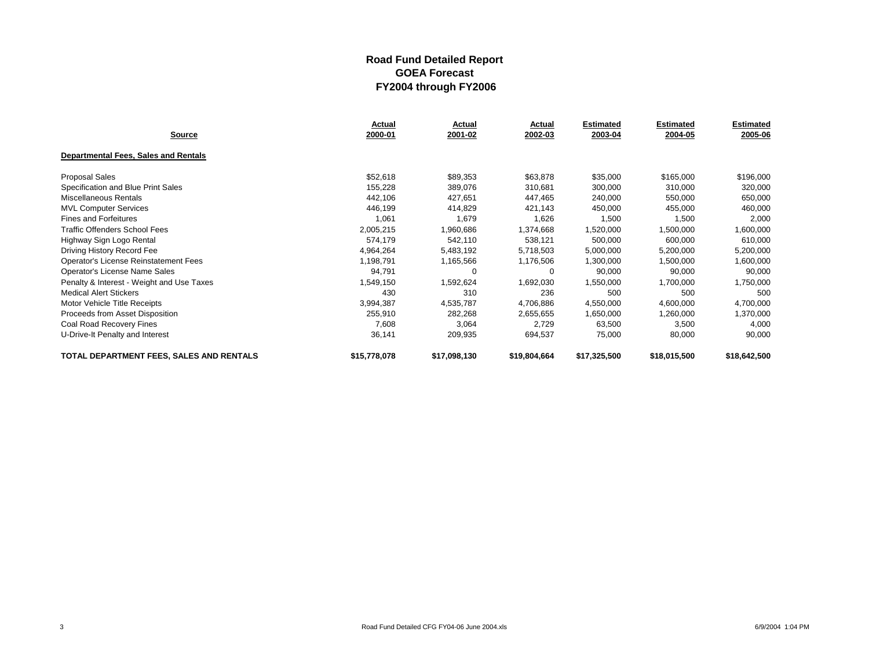|                                           | Actual       | Actual       | Actual       | <b>Estimated</b> | <b>Estimated</b> | <b>Estimated</b> |
|-------------------------------------------|--------------|--------------|--------------|------------------|------------------|------------------|
| <b>Source</b>                             | 2000-01      | 2001-02      | 2002-03      | 2003-04          | 2004-05          | 2005-06          |
| Departmental Fees, Sales and Rentals      |              |              |              |                  |                  |                  |
| <b>Proposal Sales</b>                     | \$52,618     | \$89,353     | \$63,878     | \$35,000         | \$165,000        | \$196,000        |
| Specification and Blue Print Sales        | 155,228      | 389,076      | 310,681      | 300,000          | 310,000          | 320,000          |
| Miscellaneous Rentals                     | 442,106      | 427,651      | 447,465      | 240,000          | 550,000          | 650,000          |
| <b>MVL Computer Services</b>              | 446,199      | 414,829      | 421,143      | 450,000          | 455,000          | 460,000          |
| <b>Fines and Forfeitures</b>              | 1,061        | 1,679        | 1,626        | 1,500            | 1,500            | 2,000            |
| <b>Traffic Offenders School Fees</b>      | 2,005,215    | 1,960,686    | 1,374,668    | 1,520,000        | 1,500,000        | 1,600,000        |
| Highway Sign Logo Rental                  | 574,179      | 542,110      | 538,121      | 500,000          | 600,000          | 610,000          |
| Driving History Record Fee                | 4,964,264    | 5,483,192    | 5,718,503    | 5,000,000        | 5,200,000        | 5,200,000        |
| Operator's License Reinstatement Fees     | 1,198,791    | 1,165,566    | 1,176,506    | 1,300,000        | 1,500,000        | 1,600,000        |
| Operator's License Name Sales             | 94,791       | $\Omega$     | 0            | 90,000           | 90,000           | 90,000           |
| Penalty & Interest - Weight and Use Taxes | 1,549,150    | 1,592,624    | 1,692,030    | 1,550,000        | 1,700,000        | 1,750,000        |
| <b>Medical Alert Stickers</b>             | 430          | 310          | 236          | 500              | 500              | 500              |
| Motor Vehicle Title Receipts              | 3,994,387    | 4,535,787    | 4,706,886    | 4,550,000        | 4,600,000        | 4,700,000        |
| Proceeds from Asset Disposition           | 255,910      | 282,268      | 2,655,655    | 1,650,000        | 1,260,000        | 1,370,000        |
| Coal Road Recovery Fines                  | 7,608        | 3,064        | 2,729        | 63,500           | 3,500            | 4,000            |
| U-Drive-It Penalty and Interest           | 36,141       | 209,935      | 694,537      | 75,000           | 80,000           | 90,000           |
| TOTAL DEPARTMENT FEES, SALES AND RENTALS  | \$15,778,078 | \$17,098,130 | \$19,804,664 | \$17,325,500     | \$18,015,500     | \$18,642,500     |